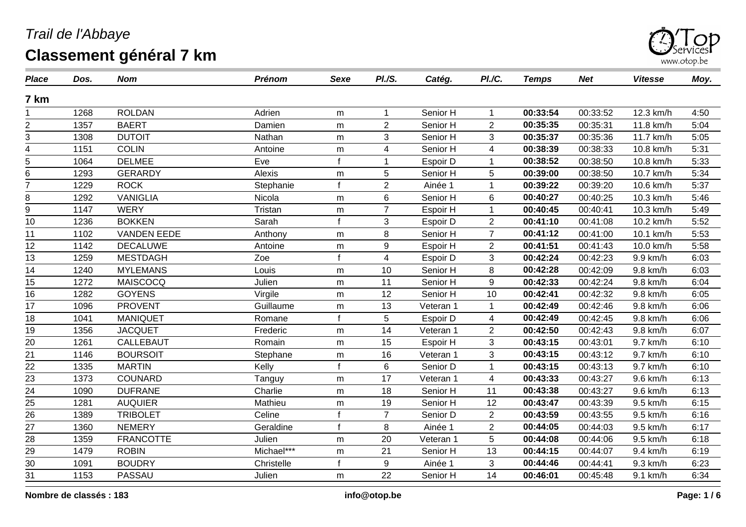

| <b>Place</b>    | Dos. | <b>Nom</b>         | <b>Prénom</b> | Sexe | PI.S.          | Catég.    | PI./C.         | <b>Temps</b> | <b>Net</b> | <b>Vitesse</b> | Moy. |
|-----------------|------|--------------------|---------------|------|----------------|-----------|----------------|--------------|------------|----------------|------|
| 7 km            |      |                    |               |      |                |           |                |              |            |                |      |
|                 | 1268 | <b>ROLDAN</b>      | Adrien        | m    | 1              | Senior H  | $\mathbf 1$    | 00:33:54     | 00:33:52   | 12.3 km/h      | 4:50 |
| $\overline{c}$  | 1357 | <b>BAERT</b>       | Damien        | m    | $\overline{2}$ | Senior H  | $\overline{2}$ | 00:35:35     | 00:35:31   | 11.8 km/h      | 5:04 |
| 3               | 1308 | <b>DUTOIT</b>      | Nathan        | m    | 3              | Senior H  | 3              | 00:35:37     | 00:35:36   | 11.7 km/h      | 5:05 |
| 4               | 1151 | <b>COLIN</b>       | Antoine       | m    | 4              | Senior H  | 4              | 00:38:39     | 00:38:33   | 10.8 km/h      | 5:31 |
| 5               | 1064 | <b>DELMEE</b>      | Eve           |      |                | Espoir D  | 1              | 00:38:52     | 00:38:50   | 10.8 km/h      | 5:33 |
| 6               | 1293 | <b>GERARDY</b>     | Alexis        | m    | 5              | Senior H  | 5              | 00:39:00     | 00:38:50   | 10.7 km/h      | 5:34 |
| $\overline{7}$  | 1229 | <b>ROCK</b>        | Stephanie     |      | $\overline{2}$ | Ainée 1   |                | 00:39:22     | 00:39:20   | 10.6 km/h      | 5:37 |
| 8               | 1292 | <b>VANIGLIA</b>    | Nicola        | m    | 6              | Senior H  | 6              | 00:40:27     | 00:40:25   | 10.3 km/h      | 5:46 |
| $\overline{9}$  | 1147 | <b>WERY</b>        | Tristan       | m    | $\overline{7}$ | Espoir H  | $\mathbf{1}$   | 00:40:45     | 00:40:41   | 10.3 km/h      | 5:49 |
| 10              | 1236 | <b>BOKKEN</b>      | Sarah         |      | 3              | Espoir D  | $\overline{2}$ | 00:41:10     | 00:41:08   | 10.2 km/h      | 5:52 |
| 11              | 1102 | <b>VANDEN EEDE</b> | Anthony       | m    | 8              | Senior H  | $\overline{7}$ | 00:41:12     | 00:41:00   | 10.1 km/h      | 5:53 |
| 12              | 1142 | <b>DECALUWE</b>    | Antoine       | m    | 9              | Espoir H  | $\overline{2}$ | 00:41:51     | 00:41:43   | 10.0 km/h      | 5:58 |
| 13              | 1259 | <b>MESTDAGH</b>    | Zoe           |      | 4              | Espoir D  | 3              | 00:42:24     | 00:42:23   | 9.9 km/h       | 6:03 |
| 14              | 1240 | <b>MYLEMANS</b>    | Louis         | m    | 10             | Senior H  | 8              | 00:42:28     | 00:42:09   | 9.8 km/h       | 6:03 |
| 15              | 1272 | MAISCOCQ           | Julien        | m    | 11             | Senior H  | 9              | 00:42:33     | 00:42:24   | 9.8 km/h       | 6:04 |
| 16              | 1282 | <b>GOYENS</b>      | Virgile       | m    | 12             | Senior H  | 10             | 00:42:41     | 00:42:32   | 9.8 km/h       | 6:05 |
| 17              | 1096 | <b>PROVENT</b>     | Guillaume     | m    | 13             | Veteran 1 | 1              | 00:42:49     | 00:42:46   | 9.8 km/h       | 6:06 |
| 18              | 1041 | <b>MANIQUET</b>    | Romane        |      | 5              | Espoir D  | 4              | 00:42:49     | 00:42:45   | 9.8 km/h       | 6:06 |
| 19              | 1356 | <b>JACQUET</b>     | Frederic      | m    | 14             | Veteran 1 | $\overline{2}$ | 00:42:50     | 00:42:43   | 9.8 km/h       | 6:07 |
| 20              | 1261 | <b>CALLEBAUT</b>   | Romain        | m    | 15             | Espoir H  | 3              | 00:43:15     | 00:43:01   | 9.7 km/h       | 6:10 |
| 21              | 1146 | <b>BOURSOIT</b>    | Stephane      | m    | 16             | Veteran 1 | 3              | 00:43:15     | 00:43:12   | 9.7 km/h       | 6:10 |
| 22              | 1335 | <b>MARTIN</b>      | Kelly         |      | 6              | Senior D  | 1              | 00:43:15     | 00:43:13   | 9.7 km/h       | 6:10 |
| $\overline{23}$ | 1373 | COUNARD            | Tanguy        | m    | 17             | Veteran 1 | 4              | 00:43:33     | 00:43:27   | 9.6 km/h       | 6:13 |
| 24              | 1090 | <b>DUFRANE</b>     | Charlie       | m    | 18             | Senior H  | 11             | 00:43:38     | 00:43:27   | 9.6 km/h       | 6:13 |
| 25              | 1281 | <b>AUQUIER</b>     | Mathieu       | m    | 19             | Senior H  | 12             | 00:43:47     | 00:43:39   | 9.5 km/h       | 6:15 |
| 26              | 1389 | <b>TRIBOLET</b>    | Celine        |      | $\overline{7}$ | Senior D  | $\overline{2}$ | 00:43:59     | 00:43:55   | 9.5 km/h       | 6:16 |
| 27              | 1360 | <b>NEMERY</b>      | Geraldine     |      | 8              | Ainée 1   | $\overline{2}$ | 00:44:05     | 00:44:03   | 9.5 km/h       | 6:17 |
| 28              | 1359 | <b>FRANCOTTE</b>   | Julien        | m    | 20             | Veteran 1 | 5              | 00:44:08     | 00:44:06   | 9.5 km/h       | 6:18 |
| 29              | 1479 | <b>ROBIN</b>       | Michael***    | m    | 21             | Senior H  | 13             | 00:44:15     | 00:44:07   | 9.4 km/h       | 6:19 |
| $\overline{30}$ | 1091 | <b>BOUDRY</b>      | Christelle    |      | 9              | Ainée 1   | 3              | 00:44:46     | 00:44:41   | 9.3 km/h       | 6:23 |
| 31              | 1153 | PASSAU             | Julien        | m    | 22             | Senior H  | 14             | 00:46:01     | 00:45:48   | 9.1 km/h       | 6:34 |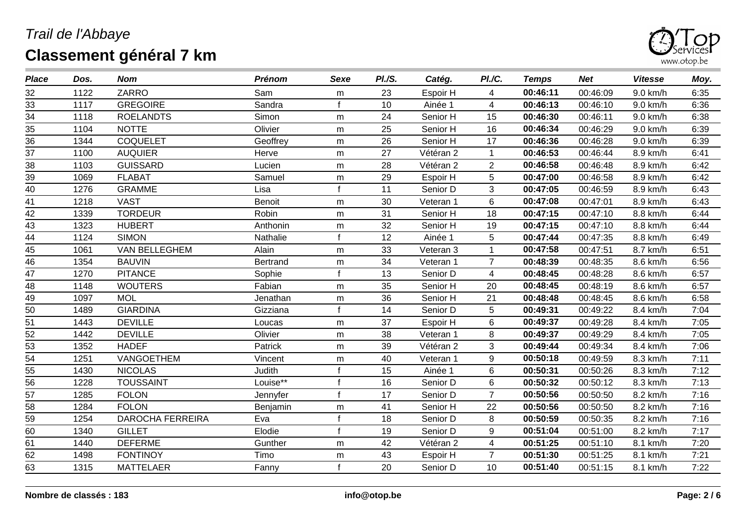

| <b>Place</b>    | Dos. | <b>Nom</b>              | <b>Prénom</b> | Sexe      | PI.S. | Catég.    | <b>PI./C.</b>  | <b>Temps</b> | <b>Net</b> | <b>Vitesse</b> | Moy. |
|-----------------|------|-------------------------|---------------|-----------|-------|-----------|----------------|--------------|------------|----------------|------|
| 32              | 1122 | ZARRO                   | Sam           | m         | 23    | Espoir H  | $\overline{4}$ | 00:46:11     | 00:46:09   | 9.0 km/h       | 6:35 |
| 33              | 1117 | <b>GREGOIRE</b>         | Sandra        | f.        | 10    | Ainée 1   | $\overline{4}$ | 00:46:13     | 00:46:10   | 9.0 km/h       | 6:36 |
| 34              | 1118 | <b>ROELANDTS</b>        | Simon         | m         | 24    | Senior H  | 15             | 00:46:30     | 00:46:11   | 9.0 km/h       | 6:38 |
| 35              | 1104 | <b>NOTTE</b>            | Olivier       | m         | 25    | Senior H  | 16             | 00:46:34     | 00:46:29   | 9.0 km/h       | 6:39 |
| 36              | 1344 | <b>COQUELET</b>         | Geoffrey      | m         | 26    | Senior H  | 17             | 00:46:36     | 00:46:28   | 9.0 km/h       | 6:39 |
| 37              | 1100 | <b>AUQUIER</b>          | Herve         | ${\sf m}$ | 27    | Vétéran 2 | $\mathbf{1}$   | 00:46:53     | 00:46:44   | 8.9 km/h       | 6:41 |
| 38              | 1103 | <b>GUISSARD</b>         | Lucien        | m         | 28    | Vétéran 2 | $\overline{2}$ | 00:46:58     | 00:46:48   | 8.9 km/h       | 6:42 |
| 39              | 1069 | <b>FLABAT</b>           | Samuel        | m         | 29    | Espoir H  | 5              | 00:47:00     | 00:46:58   | 8.9 km/h       | 6:42 |
| 40              | 1276 | <b>GRAMME</b>           | Lisa          | f         | 11    | Senior D  | 3              | 00:47:05     | 00:46:59   | 8.9 km/h       | 6:43 |
| 41              | 1218 | <b>VAST</b>             | Benoit        | m         | 30    | Veteran 1 | 6              | 00:47:08     | 00:47:01   | 8.9 km/h       | 6:43 |
| 42              | 1339 | <b>TORDEUR</b>          | Robin         | m         | 31    | Senior H  | 18             | 00:47:15     | 00:47:10   | 8.8 km/h       | 6:44 |
| 43              | 1323 | <b>HUBERT</b>           | Anthonin      | m         | 32    | Senior H  | 19             | 00:47:15     | 00:47:10   | 8.8 km/h       | 6:44 |
| 44              | 1124 | <b>SIMON</b>            | Nathalie      | f         | 12    | Ainée 1   | 5              | 00:47:44     | 00:47:35   | 8.8 km/h       | 6:49 |
| 45              | 1061 | VAN BELLEGHEM           | Alain         | m         | 33    | Veteran 3 | $\mathbf{1}$   | 00:47:58     | 00:47:51   | 8.7 km/h       | 6:51 |
| $\overline{46}$ | 1354 | <b>BAUVIN</b>           | Bertrand      | m         | 34    | Veteran 1 | $\overline{7}$ | 00:48:39     | 00:48:35   | 8.6 km/h       | 6:56 |
| $\overline{47}$ | 1270 | <b>PITANCE</b>          | Sophie        | f.        | 13    | Senior D  | 4              | 00:48:45     | 00:48:28   | 8.6 km/h       | 6:57 |
| 48              | 1148 | <b>WOUTERS</b>          | Fabian        | m         | 35    | Senior H  | 20             | 00:48:45     | 00:48:19   | 8.6 km/h       | 6:57 |
| $\frac{49}{ }$  | 1097 | <b>MOL</b>              | Jenathan      | m         | 36    | Senior H  | 21             | 00:48:48     | 00:48:45   | 8.6 km/h       | 6:58 |
| 50              | 1489 | <b>GIARDINA</b>         | Gizziana      |           | 14    | Senior D  | 5              | 00:49:31     | 00:49:22   | 8.4 km/h       | 7:04 |
| $\overline{51}$ | 1443 | <b>DEVILLE</b>          | Loucas        | m         | 37    | Espoir H  | 6              | 00:49:37     | 00:49:28   | 8.4 km/h       | 7:05 |
| $\overline{52}$ | 1442 | <b>DEVILLE</b>          | Olivier       | m         | 38    | Veteran 1 | 8              | 00:49:37     | 00:49:29   | 8.4 km/h       | 7:05 |
| $\overline{53}$ | 1352 | <b>HADEF</b>            | Patrick       | m         | 39    | Vétéran 2 | 3              | 00:49:44     | 00:49:34   | 8.4 km/h       | 7:06 |
| 54              | 1251 | VANGOETHEM              | Vincent       | m         | 40    | Veteran 1 | 9              | 00:50:18     | 00:49:59   | 8.3 km/h       | 7:11 |
| 55              | 1430 | <b>NICOLAS</b>          | Judith        | £         | 15    | Ainée 1   | 6              | 00:50:31     | 00:50:26   | 8.3 km/h       | 7:12 |
| 56              | 1228 | <b>TOUSSAINT</b>        | Louise**      | f         | 16    | Senior D  | 6              | 00:50:32     | 00:50:12   | 8.3 km/h       | 7:13 |
| $\overline{57}$ | 1285 | <b>FOLON</b>            | Jennyfer      |           | 17    | Senior D  | $\overline{7}$ | 00:50:56     | 00:50:50   | 8.2 km/h       | 7:16 |
| 58              | 1284 | <b>FOLON</b>            | Benjamin      | m         | 41    | Senior H  | 22             | 00:50:56     | 00:50:50   | 8.2 km/h       | 7:16 |
| $\overline{59}$ | 1254 | <b>DAROCHA FERREIRA</b> | Eva           | f         | 18    | Senior D  | 8              | 00:50:59     | 00:50:35   | 8.2 km/h       | 7:16 |
| 60              | 1340 | <b>GILLET</b>           | Elodie        | f.        | 19    | Senior D  | 9              | 00:51:04     | 00:51:00   | 8.2 km/h       | 7:17 |
| 61              | 1440 | <b>DEFERME</b>          | Gunther       | m         | 42    | Vétéran 2 | 4              | 00:51:25     | 00:51:10   | 8.1 km/h       | 7:20 |
| 62              | 1498 | <b>FONTINOY</b>         | Timo          | m         | 43    | Espoir H  | $\overline{7}$ | 00:51:30     | 00:51:25   | 8.1 km/h       | 7:21 |
| 63              | 1315 | <b>MATTELAER</b>        | Fanny         | f         | 20    | Senior D  | 10             | 00:51:40     | 00:51:15   | 8.1 km/h       | 7:22 |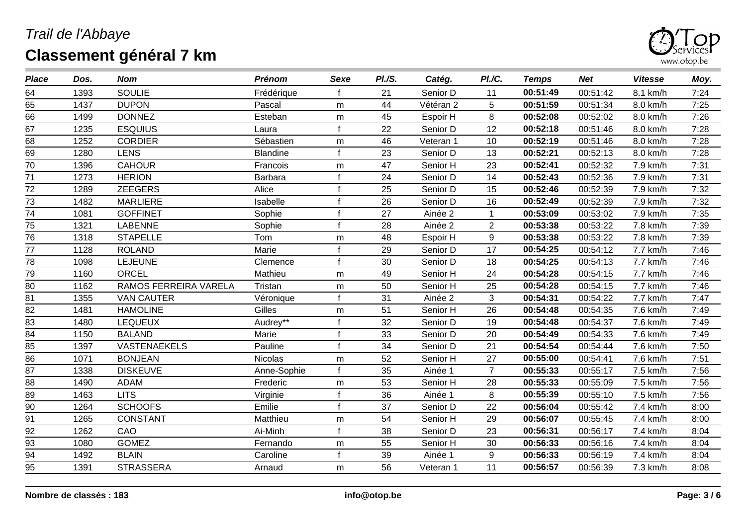

| <b>Place</b>    | Dos. | <b>Nom</b>            | <b>Prénom</b>   | Sexe         | PI.S. | Catég.    | PI./C.         | <b>Temps</b> | <b>Net</b> | <b>Vitesse</b> | Moy. |
|-----------------|------|-----------------------|-----------------|--------------|-------|-----------|----------------|--------------|------------|----------------|------|
| 64              | 1393 | <b>SOULIE</b>         | Frédérique      |              | 21    | Senior D  | 11             | 00:51:49     | 00:51:42   | 8.1 km/h       | 7:24 |
| 65              | 1437 | <b>DUPON</b>          | Pascal          | m            | 44    | Vétéran 2 | 5              | 00:51:59     | 00:51:34   | 8.0 km/h       | 7:25 |
| 66              | 1499 | <b>DONNEZ</b>         | Esteban         | m            | 45    | Espoir H  | 8              | 00:52:08     | 00:52:02   | 8.0 km/h       | 7:26 |
| 67              | 1235 | <b>ESQUIUS</b>        | Laura           | $\mathbf{f}$ | 22    | Senior D  | 12             | 00:52:18     | 00:51:46   | 8.0 km/h       | 7:28 |
| 68              | 1252 | <b>CORDIER</b>        | Sébastien       | m            | 46    | Veteran 1 | 10             | 00:52:19     | 00:51:46   | 8.0 km/h       | 7:28 |
| 69              | 1280 | <b>LENS</b>           | <b>Blandine</b> |              | 23    | Senior D  | 13             | 00:52:21     | 00:52:13   | 8.0 km/h       | 7:28 |
| 70              | 1396 | <b>CAHOUR</b>         | Francois        | m            | 47    | Senior H  | 23             | 00:52:41     | 00:52:32   | 7.9 km/h       | 7:31 |
| 71              | 1273 | <b>HERION</b>         | Barbara         |              | 24    | Senior D  | 14             | 00:52:43     | 00:52:36   | 7.9 km/h       | 7:31 |
| 72              | 1289 | <b>ZEEGERS</b>        | Alice           |              | 25    | Senior D  | 15             | 00:52:46     | 00:52:39   | 7.9 km/h       | 7:32 |
| 73              | 1482 | <b>MARLIERE</b>       | Isabelle        |              | 26    | Senior D  | 16             | 00:52:49     | 00:52:39   | 7.9 km/h       | 7:32 |
| $\overline{74}$ | 1081 | <b>GOFFINET</b>       | Sophie          |              | 27    | Ainée 2   | $\mathbf 1$    | 00:53:09     | 00:53:02   | 7.9 km/h       | 7:35 |
| 75              | 1321 | <b>LABENNE</b>        | Sophie          |              | 28    | Ainée 2   | $\overline{2}$ | 00:53:38     | 00:53:22   | 7.8 km/h       | 7:39 |
| $\overline{76}$ | 1318 | <b>STAPELLE</b>       | Tom             | m            | 48    | Espoir H  | 9              | 00:53:38     | 00:53:22   | 7.8 km/h       | 7:39 |
| $\overline{77}$ | 1128 | <b>ROLAND</b>         | Marie           |              | 29    | Senior D  | 17             | 00:54:25     | 00:54:12   | 7.7 km/h       | 7:46 |
| 78              | 1098 | <b>LEJEUNE</b>        | Clemence        |              | 30    | Senior D  | 18             | 00:54:25     | 00:54:13   | 7.7 km/h       | 7:46 |
| $\overline{79}$ | 1160 | <b>ORCEL</b>          | Mathieu         | m            | 49    | Senior H  | 24             | 00:54:28     | 00:54:15   | 7.7 km/h       | 7:46 |
| 80              | 1162 | RAMOS FERREIRA VARELA | Tristan         | m            | 50    | Senior H  | 25             | 00:54:28     | 00:54:15   | 7.7 km/h       | 7:46 |
| $\overline{81}$ | 1355 | <b>VAN CAUTER</b>     | Véronique       |              | 31    | Ainée 2   | $\mathbf{3}$   | 00:54:31     | 00:54:22   | 7.7 km/h       | 7:47 |
| 82              | 1481 | <b>HAMOLINE</b>       | Gilles          | m            | 51    | Senior H  | 26             | 00:54:48     | 00:54:35   | 7.6 km/h       | 7:49 |
| $\overline{83}$ | 1480 | <b>LEQUEUX</b>        | Audrey**        |              | 32    | Senior D  | 19             | 00:54:48     | 00:54:37   | 7.6 km/h       | 7:49 |
| 84              | 1150 | <b>BALAND</b>         | Marie           |              | 33    | Senior D  | 20             | 00:54:49     | 00:54:33   | 7.6 km/h       | 7:49 |
| 85              | 1397 | <b>VASTENAEKELS</b>   | Pauline         |              | 34    | Senior D  | 21             | 00:54:54     | 00:54:44   | 7.6 km/h       | 7:50 |
| 86              | 1071 | <b>BONJEAN</b>        | <b>Nicolas</b>  | m            | 52    | Senior H  | 27             | 00:55:00     | 00:54:41   | 7.6 km/h       | 7:51 |
| 87              | 1338 | <b>DISKEUVE</b>       | Anne-Sophie     | $\mathbf{f}$ | 35    | Ainée 1   | $\overline{7}$ | 00:55:33     | 00:55:17   | 7.5 km/h       | 7:56 |
| 88              | 1490 | <b>ADAM</b>           | Frederic        | m            | 53    | Senior H  | 28             | 00:55:33     | 00:55:09   | 7.5 km/h       | 7:56 |
| 89              | 1463 | <b>LITS</b>           | Virginie        |              | 36    | Ainée 1   | 8              | 00:55:39     | 00:55:10   | 7.5 km/h       | 7:56 |
| 90              | 1264 | <b>SCHOOFS</b>        | Emilie          |              | 37    | Senior D  | 22             | 00:56:04     | 00:55:42   | 7.4 km/h       | 8:00 |
| 91              | 1265 | <b>CONSTANT</b>       | Matthieu        | m            | 54    | Senior H  | 29             | 00:56:07     | 00:55:45   | 7.4 km/h       | 8:00 |
| 92              | 1262 | CAO                   | Ai-Minh         |              | 38    | Senior D  | 23             | 00:56:31     | 00:56:17   | 7.4 km/h       | 8:04 |
| 93              | 1080 | <b>GOMEZ</b>          | Fernando        | m            | 55    | Senior H  | 30             | 00:56:33     | 00:56:16   | 7.4 km/h       | 8:04 |
| 94              | 1492 | <b>BLAIN</b>          | Caroline        | $\mathbf{f}$ | 39    | Ainée 1   | 9              | 00:56:33     | 00:56:19   | 7.4 km/h       | 8:04 |
| 95              | 1391 | <b>STRASSERA</b>      | Arnaud          | m            | 56    | Veteran 1 | 11             | 00:56:57     | 00:56:39   | 7.3 km/h       | 8:08 |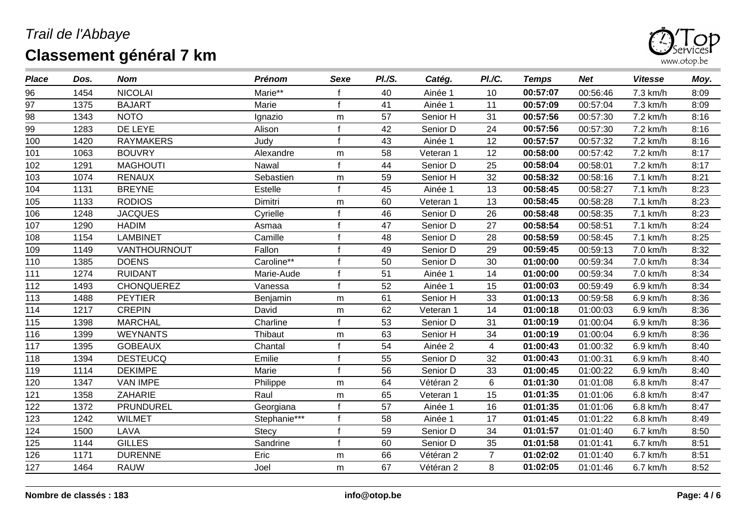

| <b>Place</b> | Dos. | <b>Nom</b>        | <b>Prénom</b> | Sexe | PI.S. | Catég.    | PI./C.         | <b>Temps</b> | <b>Net</b> | <b>Vitesse</b> | Moy. |
|--------------|------|-------------------|---------------|------|-------|-----------|----------------|--------------|------------|----------------|------|
| 96           | 1454 | <b>NICOLAI</b>    | Marie**       |      | 40    | Ainée 1   | 10             | 00:57:07     | 00:56:46   | 7.3 km/h       | 8:09 |
| 97           | 1375 | <b>BAJART</b>     | Marie         |      | 41    | Ainée 1   | 11             | 00:57:09     | 00:57:04   | 7.3 km/h       | 8:09 |
| 98           | 1343 | <b>NOTO</b>       | Ignazio       | m    | 57    | Senior H  | 31             | 00:57:56     | 00:57:30   | 7.2 km/h       | 8:16 |
| 99           | 1283 | DE LEYE           | Alison        | £    | 42    | Senior D  | 24             | 00:57:56     | 00:57:30   | 7.2 km/h       | 8:16 |
| 100          | 1420 | <b>RAYMAKERS</b>  | Judy          |      | 43    | Ainée 1   | 12             | 00:57:57     | 00:57:32   | 7.2 km/h       | 8:16 |
| 101          | 1063 | <b>BOUVRY</b>     | Alexandre     | m    | 58    | Veteran 1 | 12             | 00:58:00     | 00:57:42   | 7.2 km/h       | 8:17 |
| 102          | 1291 | <b>MAGHOUTI</b>   | Nawal         |      | 44    | Senior D  | 25             | 00:58:04     | 00:58:01   | 7.2 km/h       | 8:17 |
| 103          | 1074 | <b>RENAUX</b>     | Sebastien     | m    | 59    | Senior H  | 32             | 00:58:32     | 00:58:16   | 7.1 km/h       | 8:21 |
| 104          | 1131 | <b>BREYNE</b>     | Estelle       |      | 45    | Ainée 1   | 13             | 00:58:45     | 00:58:27   | 7.1 km/h       | 8:23 |
| 105          | 1133 | <b>RODIOS</b>     | Dimitri       | m    | 60    | Veteran 1 | 13             | 00:58:45     | 00:58:28   | 7.1 km/h       | 8:23 |
| 106          | 1248 | <b>JACQUES</b>    | Cyrielle      |      | 46    | Senior D  | 26             | 00:58:48     | 00:58:35   | 7.1 km/h       | 8:23 |
| 107          | 1290 | <b>HADIM</b>      | Asmaa         |      | 47    | Senior D  | 27             | 00:58:54     | 00:58:51   | 7.1 km/h       | 8:24 |
| 108          | 1154 | <b>LAMBINET</b>   | Camille       |      | 48    | Senior D  | 28             | 00:58:59     | 00:58:45   | 7.1 km/h       | 8:25 |
| 109          | 1149 | VANTHOURNOUT      | Fallon        |      | 49    | Senior D  | 29             | 00:59:45     | 00:59:13   | 7.0 km/h       | 8:32 |
| 110          | 1385 | <b>DOENS</b>      | Caroline**    |      | 50    | Senior D  | 30             | 01:00:00     | 00:59:34   | 7.0 km/h       | 8:34 |
| 111          | 1274 | <b>RUIDANT</b>    | Marie-Aude    |      | 51    | Ainée 1   | 14             | 01:00:00     | 00:59:34   | 7.0 km/h       | 8:34 |
| 112          | 1493 | <b>CHONQUEREZ</b> | Vanessa       |      | 52    | Ainée 1   | 15             | 01:00:03     | 00:59:49   | 6.9 km/h       | 8:34 |
| 113          | 1488 | <b>PEYTIER</b>    | Benjamin      | m    | 61    | Senior H  | 33             | 01:00:13     | 00:59:58   | 6.9 km/h       | 8:36 |
| 114          | 1217 | <b>CREPIN</b>     | David         | m    | 62    | Veteran 1 | 14             | 01:00:18     | 01:00:03   | 6.9 km/h       | 8:36 |
| 115          | 1398 | <b>MARCHAL</b>    | Charline      |      | 53    | Senior D  | 31             | 01:00:19     | 01:00:04   | 6.9 km/h       | 8:36 |
| 116          | 1399 | <b>WEYNANTS</b>   | Thibaut       | m    | 63    | Senior H  | 34             | 01:00:19     | 01:00:04   | 6.9 km/h       | 8:36 |
| 117          | 1395 | <b>GOBEAUX</b>    | Chantal       |      | 54    | Ainée 2   | 4              | 01:00:43     | 01:00:32   | 6.9 km/h       | 8:40 |
| 118          | 1394 | <b>DESTEUCQ</b>   | Emilie        |      | 55    | Senior D  | 32             | 01:00:43     | 01:00:31   | 6.9 km/h       | 8:40 |
| 119          | 1114 | <b>DEKIMPE</b>    | Marie         | £    | 56    | Senior D  | 33             | 01:00:45     | 01:00:22   | 6.9 km/h       | 8:40 |
| 120          | 1347 | <b>VAN IMPE</b>   | Philippe      | m    | 64    | Vétéran 2 | 6              | 01:01:30     | 01:01:08   | 6.8 km/h       | 8:47 |
| 121          | 1358 | <b>ZAHARIE</b>    | Raul          | m    | 65    | Veteran 1 | 15             | 01:01:35     | 01:01:06   | 6.8 km/h       | 8:47 |
| 122          | 1372 | <b>PRUNDUREL</b>  | Georgiana     |      | 57    | Ainée 1   | 16             | 01:01:35     | 01:01:06   | 6.8 km/h       | 8:47 |
| 123          | 1242 | <b>WILMET</b>     | Stephanie***  |      | 58    | Ainée 1   | 17             | 01:01:45     | 01:01:22   | 6.8 km/h       | 8:49 |
| 124          | 1500 | LAVA              | Stecy         |      | 59    | Senior D  | 34             | 01:01:57     | 01:01:40   | 6.7 km/h       | 8:50 |
| 125          | 1144 | <b>GILLES</b>     | Sandrine      |      | 60    | Senior D  | 35             | 01:01:58     | 01:01:41   | 6.7 km/h       | 8:51 |
| 126          | 1171 | <b>DURENNE</b>    | Eric          | m    | 66    | Vétéran 2 | $\overline{7}$ | 01:02:02     | 01:01:40   | 6.7 km/h       | 8:51 |
| 127          | 1464 | <b>RAUW</b>       | Joel          | m    | 67    | Vétéran 2 | 8              | 01:02:05     | 01:01:46   | 6.7 km/h       | 8:52 |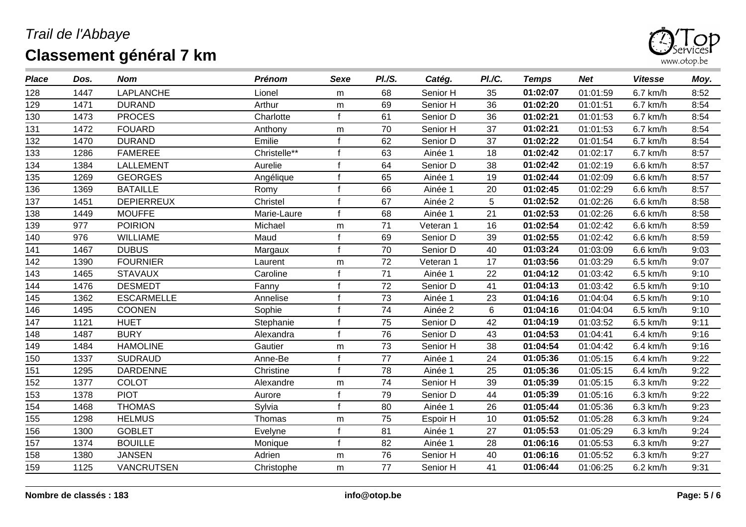

| <b>Place</b>    | Dos. | <b>Nom</b>        | <b>Prénom</b> | Sexe      | PI./S.          | Catég.    | PI./C. | <b>Temps</b> | <b>Net</b> | <b>Vitesse</b> | Moy. |
|-----------------|------|-------------------|---------------|-----------|-----------------|-----------|--------|--------------|------------|----------------|------|
| 128             | 1447 | <b>LAPLANCHE</b>  | Lionel        | m         | 68              | Senior H  | 35     | 01:02:07     | 01:01:59   | 6.7 km/h       | 8:52 |
| 129             | 1471 | <b>DURAND</b>     | Arthur        | ${\sf m}$ | 69              | Senior H  | 36     | 01:02:20     | 01:01:51   | 6.7 km/h       | 8:54 |
| 130             | 1473 | <b>PROCES</b>     | Charlotte     |           | 61              | Senior D  | 36     | 01:02:21     | 01:01:53   | 6.7 km/h       | 8:54 |
| 131             | 1472 | <b>FOUARD</b>     | Anthony       | m         | 70              | Senior H  | 37     | 01:02:21     | 01:01:53   | 6.7 km/h       | 8:54 |
| 132             | 1470 | <b>DURAND</b>     | Emilie        |           | 62              | Senior D  | 37     | 01:02:22     | 01:01:54   | 6.7 km/h       | 8:54 |
| 133             | 1286 | <b>FAMEREE</b>    | Christelle**  |           | 63              | Ainée 1   | 18     | 01:02:42     | 01:02:17   | 6.7 km/h       | 8:57 |
| 134             | 1384 | <b>LALLEMENT</b>  | Aurelie       |           | 64              | Senior D  | 38     | 01:02:42     | 01:02:19   | 6.6 km/h       | 8:57 |
| 135             | 1269 | <b>GEORGES</b>    | Angélique     |           | 65              | Ainée 1   | 19     | 01:02:44     | 01:02:09   | 6.6 km/h       | 8:57 |
| 136             | 1369 | <b>BATAILLE</b>   | Romy          |           | 66              | Ainée 1   | 20     | 01:02:45     | 01:02:29   | 6.6 km/h       | 8:57 |
| 137             | 1451 | <b>DEPIERREUX</b> | Christel      |           | 67              | Ainée 2   | 5      | 01:02:52     | 01:02:26   | 6.6 km/h       | 8:58 |
| 138             | 1449 | <b>MOUFFE</b>     | Marie-Laure   |           | 68              | Ainée 1   | 21     | 01:02:53     | 01:02:26   | 6.6 km/h       | 8:58 |
| 139             | 977  | <b>POIRION</b>    | Michael       | m         | 71              | Veteran 1 | 16     | 01:02:54     | 01:02:42   | 6.6 km/h       | 8:59 |
| 140             | 976  | <b>WILLIAME</b>   | Maud          |           | 69              | Senior D  | 39     | 01:02:55     | 01:02:42   | 6.6 km/h       | 8:59 |
| 141             | 1467 | <b>DUBUS</b>      | Margaux       |           | 70              | Senior D  | 40     | 01:03:24     | 01:03:09   | 6.6 km/h       | 9:03 |
| 142             | 1390 | <b>FOURNIER</b>   | Laurent       | m         | 72              | Veteran 1 | 17     | 01:03:56     | 01:03:29   | 6.5 km/h       | 9:07 |
| 143             | 1465 | <b>STAVAUX</b>    | Caroline      |           | 71              | Ainée 1   | 22     | 01:04:12     | 01:03:42   | 6.5 km/h       | 9:10 |
| 144             | 1476 | <b>DESMEDT</b>    | Fanny         |           | 72              | Senior D  | 41     | 01:04:13     | 01:03:42   | 6.5 km/h       | 9:10 |
| 145             | 1362 | <b>ESCARMELLE</b> | Annelise      |           | 73              | Ainée 1   | 23     | 01:04:16     | 01:04:04   | 6.5 km/h       | 9:10 |
| 146             | 1495 | <b>COONEN</b>     | Sophie        |           | 74              | Ainée 2   | 6      | 01:04:16     | 01:04:04   | 6.5 km/h       | 9:10 |
| $\frac{1}{147}$ | 1121 | <b>HUET</b>       | Stephanie     |           | $\overline{75}$ | Senior D  | 42     | 01:04:19     | 01:03:52   | 6.5 km/h       | 9:11 |
| 148             | 1487 | <b>BURY</b>       | Alexandra     |           | 76              | Senior D  | 43     | 01:04:53     | 01:04:41   | 6.4 km/h       | 9:16 |
| 149             | 1484 | <b>HAMOLINE</b>   | Gautier       | m         | 73              | Senior H  | 38     | 01:04:54     | 01:04:42   | 6.4 km/h       | 9:16 |
| 150             | 1337 | <b>SUDRAUD</b>    | Anne-Be       |           | 77              | Ainée 1   | 24     | 01:05:36     | 01:05:15   | 6.4 km/h       | 9:22 |
| 151             | 1295 | <b>DARDENNE</b>   | Christine     |           | 78              | Ainée 1   | 25     | 01:05:36     | 01:05:15   | 6.4 km/h       | 9:22 |
| 152             | 1377 | <b>COLOT</b>      | Alexandre     | m         | 74              | Senior H  | 39     | 01:05:39     | 01:05:15   | 6.3 km/h       | 9:22 |
| 153             | 1378 | <b>PIOT</b>       | Aurore        |           | 79              | Senior D  | 44     | 01:05:39     | 01:05:16   | 6.3 km/h       | 9:22 |
| 154             | 1468 | <b>THOMAS</b>     | Sylvia        |           | 80              | Ainée 1   | 26     | 01:05:44     | 01:05:36   | 6.3 km/h       | 9:23 |
| 155             | 1298 | <b>HELMUS</b>     | Thomas        | m         | 75              | Espoir H  | 10     | 01:05:52     | 01:05:28   | 6.3 km/h       | 9:24 |
| 156             | 1300 | <b>GOBLET</b>     | Evelyne       |           | 81              | Ainée 1   | 27     | 01:05:53     | 01:05:29   | 6.3 km/h       | 9:24 |
| 157             | 1374 | <b>BOUILLE</b>    | Monique       |           | 82              | Ainée 1   | 28     | 01:06:16     | 01:05:53   | 6.3 km/h       | 9:27 |
| 158             | 1380 | <b>JANSEN</b>     | Adrien        | m         | 76              | Senior H  | 40     | 01:06:16     | 01:05:52   | 6.3 km/h       | 9:27 |
| 159             | 1125 | <b>VANCRUTSEN</b> | Christophe    | m         | 77              | Senior H  | 41     | 01:06:44     | 01:06:25   | 6.2 km/h       | 9:31 |